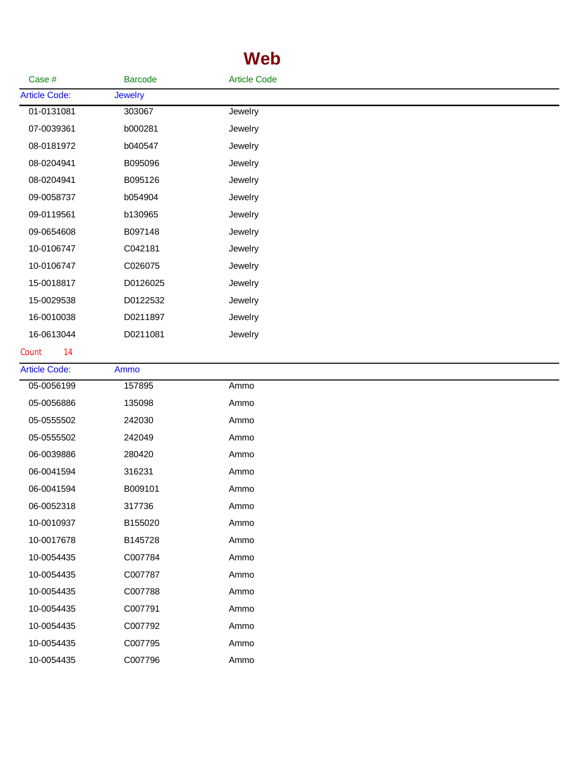## **Web**

| Case #               | <b>Barcode</b> | <b>Article Code</b> |  |
|----------------------|----------------|---------------------|--|
| <b>Article Code:</b> | <b>Jewelry</b> |                     |  |
| 01-0131081           | 303067         | Jewelry             |  |
| 07-0039361           | b000281        | Jewelry             |  |
| 08-0181972           | b040547        | Jewelry             |  |
| 08-0204941           | B095096        | Jewelry             |  |
| 08-0204941           | B095126        | Jewelry             |  |
| 09-0058737           | b054904        | Jewelry             |  |
| 09-0119561           | b130965        | Jewelry             |  |
| 09-0654608           | B097148        | Jewelry             |  |
| 10-0106747           | C042181        | Jewelry             |  |
| 10-0106747           | C026075        | Jewelry             |  |
| 15-0018817           | D0126025       | Jewelry             |  |
| 15-0029538           | D0122532       | Jewelry             |  |
| 16-0010038           | D0211897       | Jewelry             |  |
| 16-0613044           | D0211081       | Jewelry             |  |
| 14<br>Count          |                |                     |  |
| <b>Article Code:</b> | Ammo           |                     |  |
| 05-0056199           | 157895         | Ammo                |  |
| 05-0056886           | 135098         | Ammo                |  |
| 05-0555502           | 242030         | Ammo                |  |
| 05-0555502           | 242049         | Ammo                |  |
| 06-0039886           | 280420         | Ammo                |  |
| 06-0041594           | 316231         | Ammo                |  |
| 06-0041594           | B009101        | Ammo                |  |
| 06-0052318           | 317736         | Ammo                |  |
| 10-0010937           | B155020        | Ammo                |  |
| 10-0017678           | B145728        | Ammo                |  |
| 10-0054435           | C007784        | Ammo                |  |
| 10-0054435           | C007787        | Ammo                |  |
| 10-0054435           | C007788        | Ammo                |  |
| 10-0054435           | C007791        | Ammo                |  |
| 10-0054435           | C007792        | Ammo                |  |
| 10-0054435           | C007795        | Ammo                |  |
| 10-0054435           | C007796        | Ammo                |  |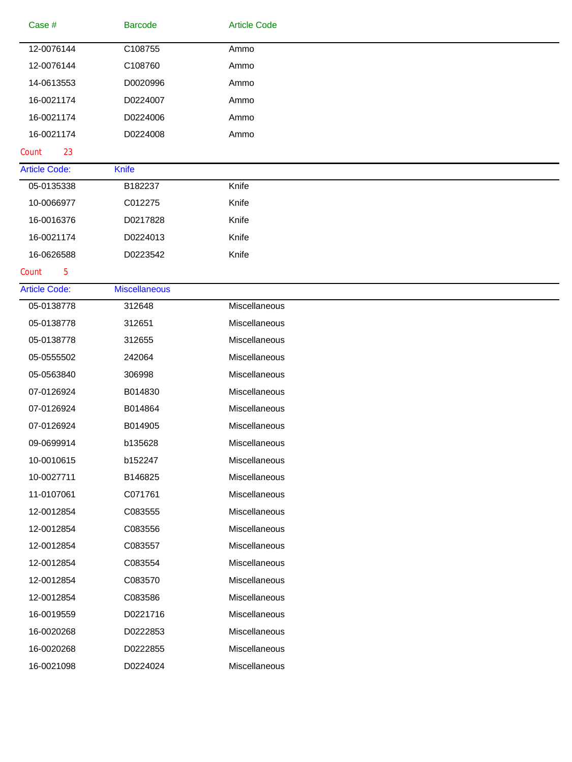| Case #               | <b>Barcode</b>       | <b>Article Code</b> |
|----------------------|----------------------|---------------------|
| 12-0076144           | C108755              | Ammo                |
| 12-0076144           | C108760              | Ammo                |
| 14-0613553           | D0020996             | Ammo                |
| 16-0021174           | D0224007             | Ammo                |
| 16-0021174           | D0224006             | Ammo                |
| 16-0021174           | D0224008             | Ammo                |
| Count<br>23          |                      |                     |
| <b>Article Code:</b> | <b>Knife</b>         |                     |
| 05-0135338           | B182237              | Knife               |
| 10-0066977           | C012275              | Knife               |
| 16-0016376           | D0217828             | Knife               |
| 16-0021174           | D0224013             | Knife               |
| 16-0626588           | D0223542             | Knife               |
| Count<br>5           |                      |                     |
| <b>Article Code:</b> | <b>Miscellaneous</b> |                     |
| 05-0138778           | 312648               | Miscellaneous       |
| 05-0138778           | 312651               | Miscellaneous       |
| 05-0138778           | 312655               | Miscellaneous       |
| 05-0555502           | 242064               | Miscellaneous       |
| 05-0563840           | 306998               | Miscellaneous       |
| 07-0126924           | B014830              | Miscellaneous       |
| 07-0126924           | B014864              | Miscellaneous       |
| 07-0126924           | B014905              | Miscellaneous       |
| 09-0699914           | b135628              | Miscellaneous       |
| 10-0010615           | b152247              | Miscellaneous       |
| 10-0027711           | B146825              | Miscellaneous       |
| 11-0107061           | C071761              | Miscellaneous       |
| 12-0012854           | C083555              | Miscellaneous       |
| 12-0012854           | C083556              | Miscellaneous       |
| 12-0012854           | C083557              | Miscellaneous       |
| 12-0012854           | C083554              | Miscellaneous       |
| 12-0012854           | C083570              | Miscellaneous       |
| 12-0012854           | C083586              | Miscellaneous       |
| 16-0019559           | D0221716             | Miscellaneous       |
| 16-0020268           | D0222853             | Miscellaneous       |
| 16-0020268           | D0222855             | Miscellaneous       |
| 16-0021098           | D0224024             | Miscellaneous       |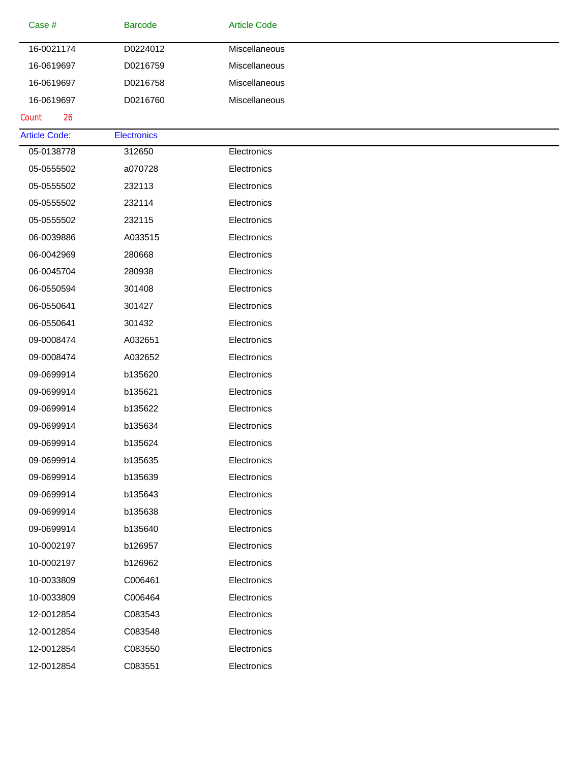| Case #               | <b>Barcode</b>     | <b>Article Code</b> |  |
|----------------------|--------------------|---------------------|--|
| 16-0021174           | D0224012           | Miscellaneous       |  |
| 16-0619697           | D0216759           | Miscellaneous       |  |
| 16-0619697           | D0216758           | Miscellaneous       |  |
| 16-0619697           | D0216760           | Miscellaneous       |  |
| 26<br>Count          |                    |                     |  |
| <b>Article Code:</b> | <b>Electronics</b> |                     |  |
| 05-0138778           | 312650             | Electronics         |  |
| 05-0555502           | a070728            | Electronics         |  |
| 05-0555502           | 232113             | Electronics         |  |
| 05-0555502           | 232114             | Electronics         |  |
| 05-0555502           | 232115             | Electronics         |  |
| 06-0039886           | A033515            | Electronics         |  |
| 06-0042969           | 280668             | Electronics         |  |
| 06-0045704           | 280938             | Electronics         |  |
| 06-0550594           | 301408             | Electronics         |  |
| 06-0550641           | 301427             | Electronics         |  |
| 06-0550641           | 301432             | Electronics         |  |
| 09-0008474           | A032651            | Electronics         |  |
| 09-0008474           | A032652            | Electronics         |  |
| 09-0699914           | b135620            | Electronics         |  |
| 09-0699914           | b135621            | Electronics         |  |
| 09-0699914           | b135622            | Electronics         |  |
| 09-0699914           | b135634            | Electronics         |  |
| 09-0699914           | b135624            | Electronics         |  |
| 09-0699914           | b135635            | Electronics         |  |
| 09-0699914           | b135639            | Electronics         |  |
| 09-0699914           | b135643            | Electronics         |  |
| 09-0699914           | b135638            | Electronics         |  |
| 09-0699914           | b135640            | Electronics         |  |
| 10-0002197           | b126957            | Electronics         |  |
| 10-0002197           | b126962            | Electronics         |  |
| 10-0033809           | C006461            | Electronics         |  |
| 10-0033809           | C006464            | Electronics         |  |
| 12-0012854           | C083543            | Electronics         |  |
| 12-0012854           | C083548            | Electronics         |  |
| 12-0012854           | C083550            | Electronics         |  |
| 12-0012854           | C083551            | Electronics         |  |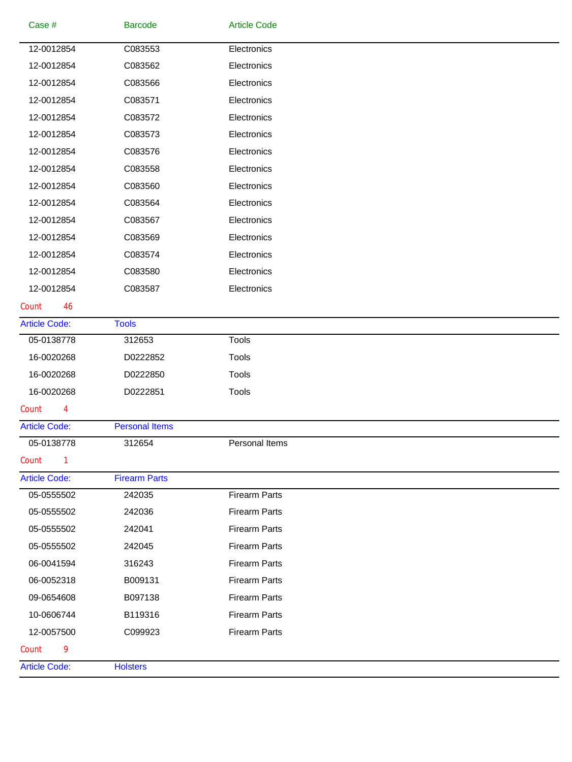| <b>Article Code:</b>     | <b>Holsters</b>       |                            |  |
|--------------------------|-----------------------|----------------------------|--|
| Count<br>9               |                       |                            |  |
| 12-0057500               | C099923               | <b>Firearm Parts</b>       |  |
| 10-0606744               | B119316               | <b>Firearm Parts</b>       |  |
| 09-0654608               | B097138               | <b>Firearm Parts</b>       |  |
| 06-0052318               | B009131               | <b>Firearm Parts</b>       |  |
| 06-0041594               | 316243                | <b>Firearm Parts</b>       |  |
| 05-0555502               | 242045                | <b>Firearm Parts</b>       |  |
| 05-0555502               | 242041                | <b>Firearm Parts</b>       |  |
| 05-0555502               | 242036                | <b>Firearm Parts</b>       |  |
| 05-0555502               | 242035                | <b>Firearm Parts</b>       |  |
| <b>Article Code:</b>     | <b>Firearm Parts</b>  |                            |  |
| Count<br>1               |                       |                            |  |
| 05-0138778               | 312654                | Personal Items             |  |
| <b>Article Code:</b>     | <b>Personal Items</b> |                            |  |
| Count<br>4               |                       |                            |  |
| 16-0020268               | D0222851              | <b>Tools</b>               |  |
| 16-0020268               | D0222850              | <b>Tools</b>               |  |
| 16-0020268               | D0222852              | <b>Tools</b>               |  |
| 05-0138778               | 312653                | <b>Tools</b>               |  |
| <b>Article Code:</b>     | <b>Tools</b>          |                            |  |
| Count<br>46              |                       |                            |  |
| 12-0012854               | C083587               | Electronics                |  |
| 12-0012854               | C083580               | Electronics                |  |
| 12-0012854               | C083574               | Electronics                |  |
| 12-0012854               | C083569               | Electronics                |  |
| 12-0012854               | C083567               | Electronics                |  |
| 12-0012854               | C083564               | Electronics                |  |
| 12-0012854               | C083560               | Electronics                |  |
| 12-0012854               | C083558               | Electronics                |  |
| 12-0012854               | C083576               | Electronics                |  |
| 12-0012854               | C083573               | Electronics                |  |
| 12-0012854               | C083572               | Electronics                |  |
| 12-0012854               | C083571               | Electronics                |  |
| 12-0012854<br>12-0012854 | C083562<br>C083566    | Electronics<br>Electronics |  |
| 12-0012854               | C083553               | Electronics                |  |
|                          |                       |                            |  |
| Case #                   | <b>Barcode</b>        | <b>Article Code</b>        |  |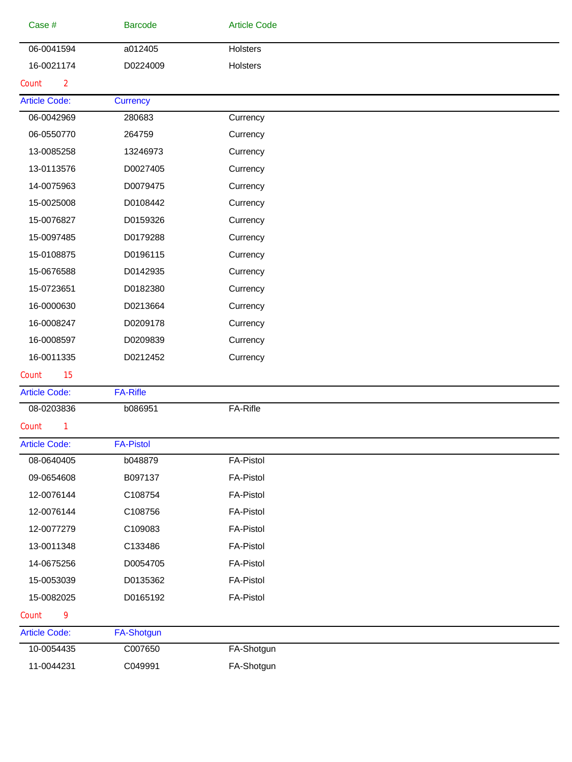| Case #                  | <b>Barcode</b>    | <b>Article Code</b> |  |
|-------------------------|-------------------|---------------------|--|
| 06-0041594              | a012405           | Holsters            |  |
| 16-0021174              | D0224009          | Holsters            |  |
| $\overline{2}$<br>Count |                   |                     |  |
| <b>Article Code:</b>    | <b>Currency</b>   |                     |  |
| 06-0042969              | 280683            | Currency            |  |
| 06-0550770              | 264759            | Currency            |  |
| 13-0085258              | 13246973          | Currency            |  |
| 13-0113576              | D0027405          | Currency            |  |
| 14-0075963              | D0079475          | Currency            |  |
| 15-0025008              | D0108442          | Currency            |  |
| 15-0076827              | D0159326          | Currency            |  |
| 15-0097485              | D0179288          | Currency            |  |
| 15-0108875              | D0196115          | Currency            |  |
| 15-0676588              | D0142935          | Currency            |  |
| 15-0723651              | D0182380          | Currency            |  |
| 16-0000630              | D0213664          | Currency            |  |
| 16-0008247              | D0209178          | Currency            |  |
| 16-0008597              | D0209839          | Currency            |  |
| 16-0011335              | D0212452          | Currency            |  |
| 15<br>Count             |                   |                     |  |
| <b>Article Code:</b>    | <b>FA-Rifle</b>   |                     |  |
| 08-0203836              | b086951           | FA-Rifle            |  |
| Count<br>1              |                   |                     |  |
| <b>Article Code:</b>    | <b>FA-Pistol</b>  |                     |  |
| 08-0640405              | b048879           | <b>FA-Pistol</b>    |  |
| 09-0654608              | B097137           | <b>FA-Pistol</b>    |  |
| 12-0076144              | C108754           | <b>FA-Pistol</b>    |  |
| 12-0076144              | C108756           | <b>FA-Pistol</b>    |  |
| 12-0077279              | C109083           | <b>FA-Pistol</b>    |  |
| 13-0011348              | C133486           | <b>FA-Pistol</b>    |  |
| 14-0675256              | D0054705          | <b>FA-Pistol</b>    |  |
| 15-0053039              | D0135362          | <b>FA-Pistol</b>    |  |
| 15-0082025              | D0165192          | <b>FA-Pistol</b>    |  |
| Count<br>9              |                   |                     |  |
| <b>Article Code:</b>    | <b>FA-Shotgun</b> |                     |  |
| 10-0054435              | C007650           | FA-Shotgun          |  |
| 11-0044231              | C049991           | FA-Shotgun          |  |